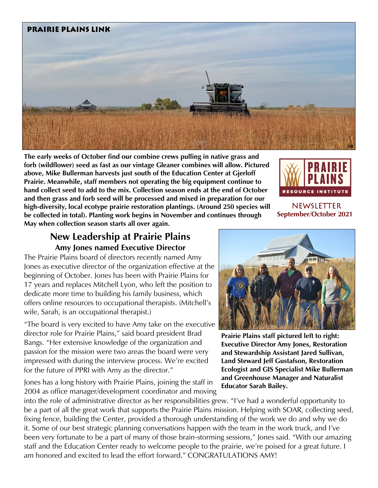

**The early weeks of October find our combine crews pulling in native grass and forb (wildflower) seed as fast as our vintage Gleaner combines will allow. Pictured above, Mike Bullerman harvests just south of the Education Center at Gjerloff Prairie. Meanwhile, staff members not operating the big equipment continue to hand collect seed to add to the mix. Collection season ends at the end of October and then grass and forb seed will be processed and mixed in preparation for our high-diversity, local ecotype prairie restoration plantings. (Around 250 species will be collected in total). Planting work begins in November and continues through May when collection season starts all over again.** 



newsletter **September/October 2021**

## **New Leadership at Prairie Plains Amy Jones named Executive Director**

The Prairie Plains board of directors recently named Amy Jones as executive director of the organization effective at the beginning of October. Jones has been with Prairie Plains for 17 years and replaces Mitchell Lyon, who left the position to dedicate more time to building his family business, which offers online resources to occupational therapists. (Mitchell's wife, Sarah, is an occupational therapist.)

"The board is very excited to have Amy take on the executive director role for Prairie Plains," said board president Brad Bangs. "Her extensive knowledge of the organization and passion for the mission were two areas the board were very impressed with during the interview process. We're excited for the future of PPRI with Amy as the director."

Jones has a long history with Prairie Plains, joining the staff in 2004 as office manager/development coordinator and moving



**Prairie Plains staff pictured left to right: Executive Director Amy Jones, Restoration and Stewardship Assistant Jared Sullivan, Land Steward Jeff Gustafson, Restoration Ecologist and GIS Specialist Mike Bullerman and Greenhouse Manager and Naturalist Educator Sarah Bailey.**

into the role of administrative director as her responsibilities grew. "I've had a wonderful opportunity to be a part of all the great work that supports the Prairie Plains mission. Helping with SOAR, collecting seed, fixing fence, building the Center, provided a thorough understanding of the work we do and why we do it. Some of our best strategic planning conversations happen with the team in the work truck, and I've been very fortunate to be a part of many of those brain-storming sessions," Jones said. "With our amazing staff and the Education Center ready to welcome people to the prairie, we're poised for a great future. I am honored and excited to lead the effort forward." CONGRATULATIONS AMY!